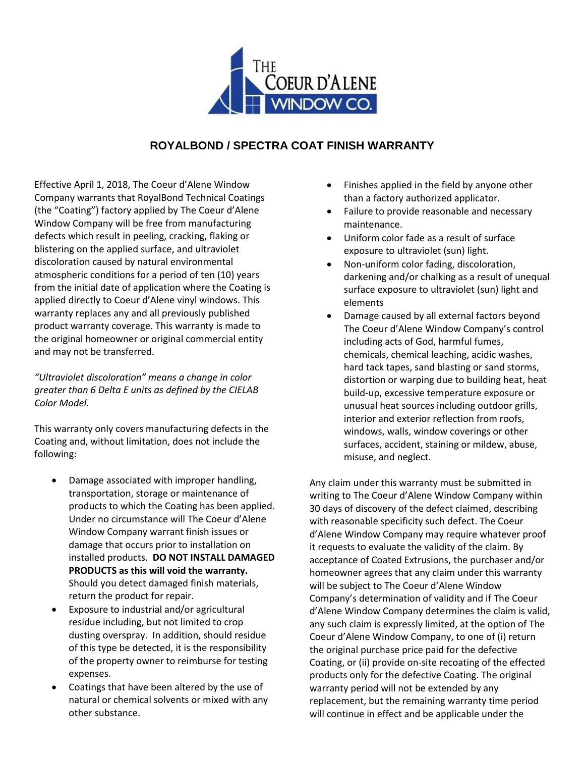

## **ROYALBOND / SPECTRA COAT FINISH WARRANTY**

Effective April 1, 2018, The Coeur d'Alene Window Company warrants that RoyalBond Technical Coatings (the "Coating") factory applied by The Coeur d'Alene Window Company will be free from manufacturing defects which result in peeling, cracking, flaking or blistering on the applied surface, and ultraviolet discoloration caused by natural environmental atmospheric conditions for a period of ten (10) years from the initial date of application where the Coating is applied directly to Coeur d'Alene vinyl windows. This warranty replaces any and all previously published product warranty coverage. This warranty is made to the original homeowner or original commercial entity and may not be transferred.

*"Ultraviolet discoloration" means a change in color greater than 6 Delta E units as defined by the CIELAB Color Model.* 

This warranty only covers manufacturing defects in the Coating and, without limitation, does not include the following:

- Damage associated with improper handling, transportation, storage or maintenance of products to which the Coating has been applied. Under no circumstance will The Coeur d'Alene Window Company warrant finish issues or damage that occurs prior to installation on installed products. **DO NOT INSTALL DAMAGED PRODUCTS as this will void the warranty.**  Should you detect damaged finish materials, return the product for repair.
- Exposure to industrial and/or agricultural residue including, but not limited to crop dusting overspray. In addition, should residue of this type be detected, it is the responsibility of the property owner to reimburse for testing expenses.
- Coatings that have been altered by the use of natural or chemical solvents or mixed with any other substance.
- Finishes applied in the field by anyone other than a factory authorized applicator.
- Failure to provide reasonable and necessary maintenance.
- Uniform color fade as a result of surface exposure to ultraviolet (sun) light.
- Non-uniform color fading, discoloration, darkening and/or chalking as a result of unequal surface exposure to ultraviolet (sun) light and elements
- Damage caused by all external factors beyond The Coeur d'Alene Window Company's control including acts of God, harmful fumes, chemicals, chemical leaching, acidic washes, hard tack tapes, sand blasting or sand storms, distortion or warping due to building heat, heat build-up, excessive temperature exposure or unusual heat sources including outdoor grills, interior and exterior reflection from roofs, windows, walls, window coverings or other surfaces, accident, staining or mildew, abuse, misuse, and neglect.

Any claim under this warranty must be submitted in writing to The Coeur d'Alene Window Company within 30 days of discovery of the defect claimed, describing with reasonable specificity such defect. The Coeur d'Alene Window Company may require whatever proof it requests to evaluate the validity of the claim. By acceptance of Coated Extrusions, the purchaser and/or homeowner agrees that any claim under this warranty will be subject to The Coeur d'Alene Window Company's determination of validity and if The Coeur d'Alene Window Company determines the claim is valid, any such claim is expressly limited, at the option of The Coeur d'Alene Window Company, to one of (i) return the original purchase price paid for the defective Coating, or (ii) provide on-site recoating of the effected products only for the defective Coating. The original warranty period will not be extended by any replacement, but the remaining warranty time period will continue in effect and be applicable under the